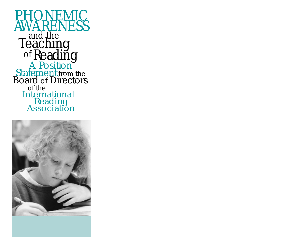

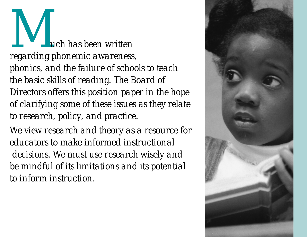*Much has been written regarding phonemic awareness, phonics, and the failure of schools to teach the basic skills of reading. The Board of Directors offers this position paper in the hope of clarifying some of these issues as they relate to research, policy, and practice.* 

*We view research and theory as a resource for educators to make informed instructional decisions. We must use research wisely and be mindful of its limitations and its potential to inform instruction.* 

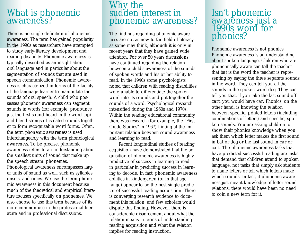## What is phonemic awareness?

There is no single definition of phonemic awareness. The term has gained popularity in the 1990s as researchers have attempted to study early-literacy development and reading disability. Phonemic awareness is typically described as an insight about oral language and in particular about the segmentation of sounds that are used in speech communication. Phonemic awareness is characterized in terms of the facility of the language learner to manipulate the sounds of oral speech. A child who possesses phonemic awareness can segment sounds in words (for example, pronounce just the first sound heard in the word *top*) and blend strings of isolated sounds together to form recognizable word forms. Often, the term *phonemic awareness* is used interchangeably with the term *phonological awareness*. To be precise, phonemic awareness refers to an understanding about the smallest units of sound that make up the speech stream: phonemes. Phonological awareness encompasses larger units of sound as well, such as syllables, onsets, and rimes. We use the term phonemic awareness in this document because much of the theoretical and empirical literature focuses specifically on phonemes. We also choose to use this term because of its more common use in the professional literature and in professional discussions.

## Why the sudden interest in phonemic awareness?

The findings regarding phonemic awareness are not as new to the field of literacy as some may think, although it is only in recent years that they have gained wide attention. For over 50 years discussions have continued regarding the relation between a child's awareness of the sounds of spoken words and his or her ability to read. In the 1940s some psychologists noted that children with reading disabilities were unable to differentiate the spoken word into its sounds and put together the sounds of a word. Psychological research intensified during the 1960s and 1970s. Within the reading educational community there was research (for example, the "First-Grade Studies" in 1967) hinting at the important relation between sound awareness and learning to read.

Recent longitudinal studies of reading acquisition have demonstrated that the acquisition of phonemic awareness is highly predictive of success in learning to read in particular in predicting success in learning to decode. In fact, phonemic awareness abilities in kindergarten (or in that age range) appear to be the best single predictor of successful reading acquisition. There is converging research evidence to document this relation, and few scholars would dispute this finding. However, there is considerable disagreement about what the relation means in terms of understanding reading acquisition and what the relation implies for reading instruction.

## Isn't phonemic awareness just a 1990s word for phonics?

Phonemic awareness is not phonics. Phonemic awareness is an understanding about spoken language. Children who are phonemically aware can tell the teacher that *bat* is the word the teacher is representing by saying the three separate sounds in the word. They can tell you all the sounds in the spoken word *dog*. They can tell you that, if you take the last sound off *cart*, you would have *car*. Phonics, on the other hand, is knowing the relation between specific, printed letters (including combinations of letters) and specific, spoken sounds. You are asking children to show their phonics knowledge when you ask them which letter makes the first sound in *bat* or *dog* or the last sound in *car* or *cart*. The phonemic awareness tasks that have predicted successful reading are tasks that demand that children attend to spoken language, not tasks that simply ask students to name letters or tell which letters make which sounds. In fact, if phonemic awareness just meant knowledge of letter-sound relations, there would have been no need to coin a new term for it.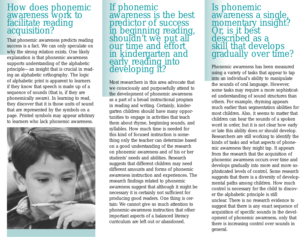## How does phonemic awareness work to facilitate reading acquisition?

That phonemic awareness predicts reading success is a fact. We can only speculate on why the strong relation exists. One likely explanation is that phonemic awareness supports understanding of the alphabetic principle—an insight that is crucial in reading an alphabetic orthography. The logic of alphabetic print is apparent to learners if they know that speech is made up of a sequence of sounds (that is, if they are phonemically aware). In learning to read, they discover that it is those units of sound that are represented by the symbols on a page. Printed symbols may appear arbitrary to learners who lack phonemic awareness.



If phonemic awareness is the best predictor of success in beginning reading, shouldn't we put all our time and effort in kindergarten and early reading into developing it?

Most researchers in this area advocate that we consciously and purposefully attend to the development of phonemic awareness as a part of a broad instructional program in reading and writing. Certainly, kindergarten children should have many opportunities to engage in activities that teach them about rhyme, beginning sounds, and syllables. How much time is needed for this kind of focused instruction is something only the teacher can determine based on a good understanding of the research on phonemic awareness and of his or her students' needs and abilities. Research suggests that different children may need different amounts and forms of phonemic awareness instruction and experiences. The research findings related to phonemic awareness suggest that although it might be necessary it is certainly not sufficient for producing good readers. One thing is certain: We cannot give so much attention to phonemic-awareness instruction that other important aspects of a balanced literacy curriculum are left out or abandoned.

Is phonemic awareness a single, momentary insight? Or, is it best described as a skill that develops gradually over time?

Phonemic awareness has been measured using a variety of tasks that appear to tap into an individual's ability to manipulate the sounds of oral language. However, some tasks may require a more sophisticated understanding of sound structures than others. For example, rhyming appears much earlier than segmentation abilities for most children. Also, it seems to matter that children can hear the sounds of a spoken word in order, but it is not clear how early or late this ability does or should develop. Researchers are still working to identify the kinds of tasks and what aspects of phonemic awareness they might tap. It appears from the research that the acquisition of phonemic awareness occurs over time and develops gradually into more and more sophisticated levels of control. Some research suggests that there is a diversity of developmental paths among children. How much control is necessary for the child to discover the alphabetic principle is still unclear. There is no research evidence to suggest that there is any exact sequence of acquisition of specific sounds in the development of phonemic awareness, only that there is increasing control over sounds in general.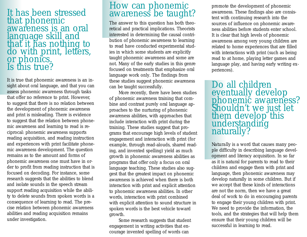It has been stressed that phonemic awareness is an oral language skill and that it has nothing to do with print, letters, or phonics. Is this true?

It is true that phonemic awareness is an insight about oral language, and that you can assess phonemic awareness through tasks that offer no reference to print. However, to suggest that there is no relation between the development of phonemic awareness and print is misleading. There is evidence to suggest that the relation between phonemic awareness and learning to read is reciprocal: phonemic awareness supports reading acquisition, and reading instruction and experiences with print facilitate phonemic awareness development. The question remains as to the amount and forms of phonemic awareness one must have in order to profit from reading instruction that is focused on decoding. For instance, some research suggests that the abilities to blend and isolate sounds in the speech stream support reading acquisition while the ability to delete sounds from spoken words is a consequence of learning to read. The precise relation between phonemic awareness abilities and reading acquisition remains under investigation.

## How can phonemic awareness be taught?

The answer to this question has both theoretical and practical implications. Theorists interested in determining the causal contribution of phonemic awareness to learning to read have conducted experimental studies in which some students are explicitly taught phonemic awareness and some are not. Many of the early studies in this genre focused on treatments that emphasize oral language work only. The findings from these studies suggest phonemic awareness can be taught successfully.

More recently, there have been studies of phonemic awareness training that combine and contrast purely oral language approaches to the nurturing of phonemic awareness abilities, with approaches that include interaction with print during the training. These studies suggest that programs that encourage high levels of student engagement and interaction with print (for example, through read-alouds, shared reading, and invented spelling) yield as much growth in phonemic awareness abilities as programs that offer only a focus on oral language teaching. These studies also suggest that the greatest impact on phonemic awareness is achieved when there is both interaction with print and explicit attention to phonemic awareness abilities. In other words, interaction with print combined with explicit attention to sound structure in spoken words is the best vehicle toward growth.

Some research suggests that student engagement in writing activities that encourage invented spelling of words can

promote the development of phonemic awareness. These findings also are consistent with continuing research into the sources of influence on phonemic awareness abilities before students enter school. It is clear that high levels of phonemic awareness among very young children are related to home experiences that are filled with interactions with print (such as being read to at home, playing letter games and language play, and having early writing experiences).

Do all children eventually develop phonemic awareness? Shouldn't we just let them develop this understanding naturally?

*Naturally* is a word that causes many people difficulty in describing language development and literacy acquisition. In so far as it is natural for parents to read to their children and engage them with print and language, then phonemic awareness may develop naturally in some children. But if we accept that these kinds of interactions are not the norm, then we have a great deal of work to do in encouraging parents to engage their young children with print. We need to provide the information, the tools, and the strategies that will help them ensure that their young children will be successful in learning to read.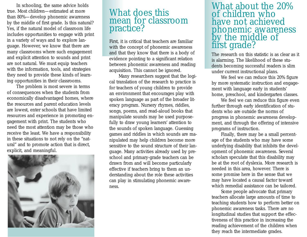In schooling, the same advice holds true. Most children—estimated at more than 80%—develop phonemic awareness by the middle of first grade. Is this natural? Yes, if the natural model of classroom life includes opportunities to engage with print in a variety of ways and to explore language. However, we know that there are many classrooms where such engagement and explicit attention to sounds and print are not natural. We must equip teachers with the information, tools, and strategies they need to provide these kinds of learning opportunities in their classrooms.

The problem is most severe in terms of consequences when the students from economically disadvantaged homes, where the resources and parent education levels are lowest, enter schools that have limited resources and experience in promoting engagement with print. The students who need the most attention may be those who receive the least. We have a responsibility in these situations to not rely on the "natural" and to promote action that is direct, explicit, and meaningful.



## What does this mean for classroom practice?

First, it is critical that teachers are familiar with the concept of phonemic awareness and that they know that there is a body of evidence pointing to a significant relation between phonemic awareness and reading acquisition. This cannot be ignored.

Many researchers suggest that the logical translation of the research to practice is for teachers of young children to provide an environment that encourages play with spoken language as part of the broader literacy program. Nursery rhymes, riddles, songs, poems, and read-aloud books that manipulate sounds may be used purposefully to draw young learners' attention to the sounds of spoken language. Guessing games and riddles in which sounds are manipulated may help children become more sensitive to the sound structure of their language. Many activities already used by preschool and primary-grade teachers can be drawn from and will become particularly effective if teachers bring to them an understanding about the role these activities can play in stimulating phonemic awareness.

## What about the 20% of children who have not achieved phonemic awareness by the middle of first grade?

The research on this statistic is as clear as it is alarming. The likelihood of these students becoming successful readers is slim under current instructional plans.

We feel we can reduce this 20% figure by more systematic instruction and engagement with language early in students' home, preschool, and kindergarten classes.

We feel we can reduce this figure even further through early identification of students who are outside the norms of progress in phonemic awareness development, and through the offering of intensive programs of instruction.

Finally, there may be a small percentage of the students who may have some underlying disability that inhibits the development of phonemic awareness. Several scholars speculate that this disability may be at the root of dyslexia. More research is needed in this area, however. There is some promise here in the sense that we may have located a causal factor toward which remedial assistance can be tailored.

Some people advocate that primary teachers allocate large amounts of time to teaching students how to perform better on phonemic awareness tasks. There are no longitudinal studies that support the effectiveness of this practice in increasing the reading achievement of the children when they reach the intermediate grades.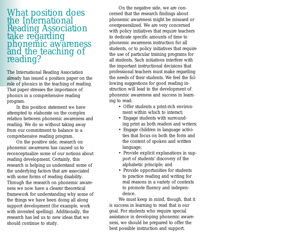What position does the International Reading Association take regarding phonemic awareness and the teaching of reading?

The International Reading Association already has issued a position paper on the role of phonics in the teaching of reading. That paper stresses the importance of phonics in a comprehensive reading program.

In this position statement we have attempted to elaborate on the complex relation between phonemic awareness and reading. We do so without taking away from our commitment to balance in a comprehensive reading program.

On the positive side, research on phonemic awareness has caused us to reconceptualize some of our notions about reading development. Certainly, this research is helping us understand some of the underlying factors that are associated with some forms of reading disability. Through the research on phonemic awareness we now have a clearer theoretical framework for understanding why some of the things we have been doing all along support development (for example, work with invented spelling). Additionally, the research has led us to new ideas that we should continue to study.

On the negative side, we are concerned that the research findings about phonemic awareness might be misused or overgeneralized. We are very concerned with policy initiatives that require teachers to dedicate specific amounts of time to phonemic awareness instruction for all students, or to policy initiatives that require the use of particular training programs for all students. Such initiatives interfere with the important instructional decisions that professional teachers must make regarding the needs of their students. We feel the following suggestions for good reading instruction will lead to the development of phonemic awareness and success in learning to read:

- Offer students a print-rich environment within which to interact;
- Engage students with surrounding print as both readers and writers;
- Engage children in language activities that focus on both the form and the content of spoken and written language;
- Provide explicit explanations in support of students' discovery of the alphabetic principle; and
- Provide opportunities for students to practice reading and writing for real reasons in a variety of contexts to promote fluency and independence.

We must keep in mind, though, that it is success in learning to read that is our goal. For students who require special assistance in developing phonemic awareness, we should be prepared to offer the best possible instruction and support.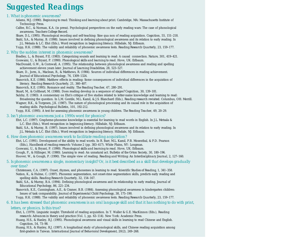# *Suggested Readings*

### *1. What is phonemic awareness?*

- Adams, M.J. (1990). *Beginning to read: Thinking and learning about print*. Cambridge, MA: Massachusetts Institute of Technology Press.
- Calfee, R.C., & Norman, K.A. (in press). Psychological perspectives on the early reading wars: The case of phonological awareness. *Teachers College Record*.
- Share, D.L. (1995). Phonological recoding and self-teaching: Sine qua non of reading acquisition. *Cognition*, *55*, 151–218.
- Stahl, S.A., & Murray, B. (1998). Issues involved in defining phonological awareness and its relation to early reading. In J.L. Metsala & L.C. Ehri (Eds.), *Word recognition in beginning literacy*. Hillsdale, NJ: Erlbaum.
- Yopp, H.K. (1988). The validity and reliability of phonemic awareness tests. *Reading Research Quarterly*, *23*, 159–177.

### *2. Why the sudden interest in phonemic awareness?*

- Bradley, L., & Bryant, P.E. (1983). Categorizing sounds and learning to read: A causal connection. *Nature*, *301*, 419–421.
- Goswami, U., & Bryant, P. (1990). *Phonological skills and learning to read*. Hove, UK: Erlbaum.
- MacDonald, G.W., & Cornwall, A. (1995). The relationship between phonological awareness and reading and spelling achievement eleven years later. *Journal of Learning Disabilities*, *28*, 523–527.
- Share, D., Jorm, A., Maclean, R., & Matthews, R. (1984). Sources of individual differences in reading achievement. *Journal of Educational Psychology*, *76*, 1309–1324.
- Stanovich, K.E. (1986). Matthew effects in reading: Some consequences of individual differences in the acquisition of literacy. *Reading Research Quarterly*, *21*, 360–407.
- Stanovich, K.E. (1995). Romance and reality. *The Reading Teacher*, *47*, 280–291.
- Stuart, M., & Coltheart, M. (1988). Does reading develop in a sequence of stages? *Cognition*, *30*, 139–181.
- Sulzby, E. (1983). A commentary on Ehri's critique of five studies related to letter-name knowledge and learning to read: Broadening the question. In L.M. Gentile, M.L. Kamil, & J.S. Blanchard (Eds.), *Reading research revisited*. Columbus, OH: Merrill. Wagner, R.K., & Torgesen, J.K. (1987). The nature of phonological processing and its causal role in the acquisition of
- reading skills. *Psychological Bulletin*, *101*, 192-212. Yopp, H.K. (1995). A test for assessing phonemic awareness in young children. *The Reading Teacher*, *49*, 20–29.

### *3. Isn't phonemic awareness just a 1990s word for phonics?*

- Ehri, L.C. (1997). Grapheme-phoneme knowledge is essential for learning to read words in English. In J.L. Metsala & L.C. Ehri (Eds.), *Word recognition in beginning literacy*. Hillsdale, NJ: Erlbaum.
- Stahl, S.A., & Murray, B. (1997). Issues involved in defining phonological awareness and its relation to early reading. In J.L. Metsala & L.C. Ehri (Eds.), *Word recognition in beginning literacy*. Hillsdale, NJ: Erlbaum.

### *4. How does phonemic awareness work to facilitate reading acquisition?*

- Ehri, L.C. (1991). Development of the ability to read words. In R. Barr, M.L. Kamil, P.B. Mosenthal, & P.D. Pearson (Eds.), *Handbook of reading research: Volume 2* (pp. 383–417). White Plains, NY: Longman.
	- Goswami, U., & Bryant, P. (1990). *Phonological skills and learning to read*. Hove, UK: Erlbaum.
	- Gough, P., & Hillinger, M. (1980). Learning to read: An unnatural act. *Bulletin of the Orton Society, 30*, 180–196.
	- Hoover, W., & Gough, P. (1990). The simple view of reading. *Reading and Writing: An Interdisciplinary Journal, 2*, 127–160.

### *5. Is phonemic awareness a single, momentary insight? Or, is it best described as a skill that develops gradually*

#### *over time?*

- Christensen, C.A. (1997). Onset, rhymes, and phonemes in learning to read. *Scientific Studies of Reading, 1*, 341–358. Nation, K., & Hulme, C. (1997). Phonemic segmentation, not onset-rime segmentation skills, predicts early reading and
- spelling skills. *Reading Research Quarterly, 32*, 154–167.
- Stahl, S.A., & Murray, B.A. (1994). Defining phonological awareness and its relationship to early reading. *Journal of Educational Psychology, 86*, 221–234.
- Stanovich, K.E., Cunningham, A.E., & Cramer, B.B. (1984). Assessing phonological awareness in kindergarten children: Issues of task comparability. *Journal of Experimental Child Psychology, 38*, 175–190.
- Yopp, H.K. (1988). The validity and reliability of phonemic awareness tests. *Reading Research Quarterly, 23*, 159–177.

### *6. It has been stressed that phonemic awareness is an oral language skill and that it has nothing to do with print,*

### *letters, or phonics. Is this true?*

- Ehri, L. (1979). Linguistic insight: Threshold of reading acquisition. In T. Waller & G.E. MacKinnon (Eds.), *Reading research: Advances in theory and practice* (Vol. 1, pp. 63–114). New York: Academic Press.
- Huang, H.S., & Hanley, R.J. (1995). Phonological awareness and visual skills in learning to read Chinese and English. *Cognition, 54*, 73–98.
- Huang, H.S., & Hanley, R.J. (1997). A longitudinal study of phonological skills, and Chinese reading acquisition among first-graders in Taiwan. *International Journal of Behavioral Development, 20*(2), 249–268.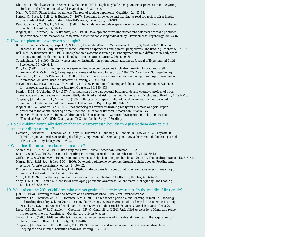Liberman, I., Shankweiler, D., Fischer, F., & Carter, B. (1974). Explicit syllable and phoneme segmentation in the young child. *Journal of Experimental Child Psychology, 18*, 201–212.

Mann, V. (1986). Phonological awareness: The role of reading experience. *Cognition, 24*, 65–92.

- Perfetti, C., Beck, I., Bell, L., & Hughes, C. (1987). Phonemic knowledge and learning to read are reciprocal: A longitudinal study of first grade children. *Merrill-Palmer Quarterly, 33*, 283–319.
- Read, C., Zhang, Y., Nie, H., & Ding, B. (1986). The ability to manipulate speech sounds depends on knowing alphabetic writing. *Cognition, 24*, 31–45.
- Wagner, R.K., Torgesen, J.K., & Rashotte, C.A. (1994). Development of reading-related phonological processing abilities: New evidence of bidirectional causality from a latent variable longitudinal study. *Developmental Psychology, 30*, 73–87.

### *7. How can phonemic awareness be taught?*

- Baker, L., Sonnenschein, S., Serpell, R., Scher, D., Fernandez-Fein, S., Munsterman, K., Hill, S., Goddard-Truitt, V., & Danseco, E. (1996). Early literacy at home: Children's experiences and parents' perspectives. *The Reading Teacher, 50*, 70–72. Ball, E.W., & Blachman, B.A. (1991). Does phoneme awareness training in kindergarten make a difference in early word
- recognition and developmental spelling? *Reading Research Quarterly, 26*(1), 49–66.
- Cunningham, A.E. (1990). Explicit versus implicit instruction in phonological awareness. *Journal of Experimental Child Psychology, 50*, 429–444.
- Ehri, L.C. (1984). How orthography alters spoken language competencies in children learning to read and spell. In J. Downing & R. Valtin (Eds.), *Language awareness and learning to read* (pp. 119–147). New York: Springer-Verlag.
- Lundberg, I., Frost, J., & Peterson, O.P. (1988). Effects of an extensive program for stimulating phonological awareness in preschool children. *Reading Research Quarterly, 23*, 264–284.
- McGuinness, D., McGuinness, C., & Donohue, J. (1995). Phonological training and the alphabetic principle: Evidence for reciprocal causality. *Reading Research Quarterly, 30*, 830–853.
- Scanlon, D.M., & Vellutino, F.R. (1997). A comparison of the instructional backgrounds and cognitive profiles of poor, average, and good readers who were initially identified as at risk for reading failure. *Scientific Studies of Reading, 1*, 191–216.
- Torgesen, J.K., Morgan, S.T., & Davis, C. (1992). Effects of two types of phonological awareness training on word learning in kindergarten children. *Journal of Educational Psychology, 84*, 364–370.
- Wagner, R.K., & Roshotte, C.A. (1993). *Does phonological awareness training really work? A meta-analysis.* Paper presented at the annual meeting of the American Educational Research Association, Atlanta, GA.
- Winsor, P., & Pearson, P.D. (1992). *Children at risk: Their phonemic awareness development in holistic instruction* (Technical Report No. 556). Champaign, IL: Center for the Study of Reading.

### *8. Do all children eventually develop phonemic awareness? Shouldn't we just let them develop this*

### *understanding naturally?*

Fletcher, J., Shaywitz, S., Shankweiler, D., Kayz, L., Liberman, I., Stuebing, K., Francis, D., Fowler, A., & Shaywitz, B. (1994). Cognitive profiles of reading disability: Comparisons of discrepancy and low achievement definitions. *Journal of Educational Psychology, 86*(1), 6–23.

### *9. What does this mean for classroom practice?*

- Adams, M.J., & Bruck, M. (1995). Resolving the"Great Debate." *American Educator, 8*, 7–20.
- Beck, I., & Juel, C. (1995). The role of decoding in learning to read. *American Educator, 8*, 21–25, 39-42.
- Griffith, P.L., & Olson, M.W. (1992). Phonemic awareness helps beginning readers break the code. *The Reading Teacher, 45*, 516–523.
- Murray, B.A., Stahl, S.A., & Ivey, M.G. (1996). Developing phoneme awareness through alphabet books. *Reading and Writing: An Interdisciplinary Journal, 8*, 307–322.
- Richgels, D., Poremba, K.J., & McGee, L.M. (1996). Kindergartners talk about print: Phonemic awareness in meaningful contexts. *The Reading Teacher, 49*, 632–642.
- Yopp, H.K. (1992). Developing phonemic awareness in young children. *The Reading Teacher, 45*, 696–703.
- Yopp, H.K. (1995). Read-aloud books for developing phonemic awareness: An annotated bibliography. *The Reading Teacher, 48*, 538–543.
- *10. What about the 20% of children who are not getting phonemic awareness by the middle of first grade?* 
	- Juel, C. (1994). *Learning to read and write in one elementary school*. New York: Springer-Verlag. Liberman, I.Y., Shankweiler, D., & Liberman, A.M. (1991). The alphabetic principle and learning to read. In *Phonology and reading disability: Solving the reading puzzle*. Washington, DC: International Academy for Research in Learning Disabilities, U.S. Department of Health and Human Services, Public Health Service; National Institutes of Health.
	- Snow, C.E., Barnes, W.S., Chandler, J., Goodman, I.F., & Hemphill, L. (1991). *Unfulfilled expectations: Home and school influences on literacy*. Cambridge, MA: Harvard University Press.
	- Stanovich, K.E. (1986). Matthew effects in reading: Some consequences of individual differences in the acquisition of literacy. *Reading Research Quarterly, 21*, 360–407.
	- Torgesen, J.K., Wagner, R.K., & Rashotte, C.A. (1997). Prevention and remediation of severe reading disabilities: Keeping the end in mind. *Scientific Studies of Reading, 1*, 217–234.